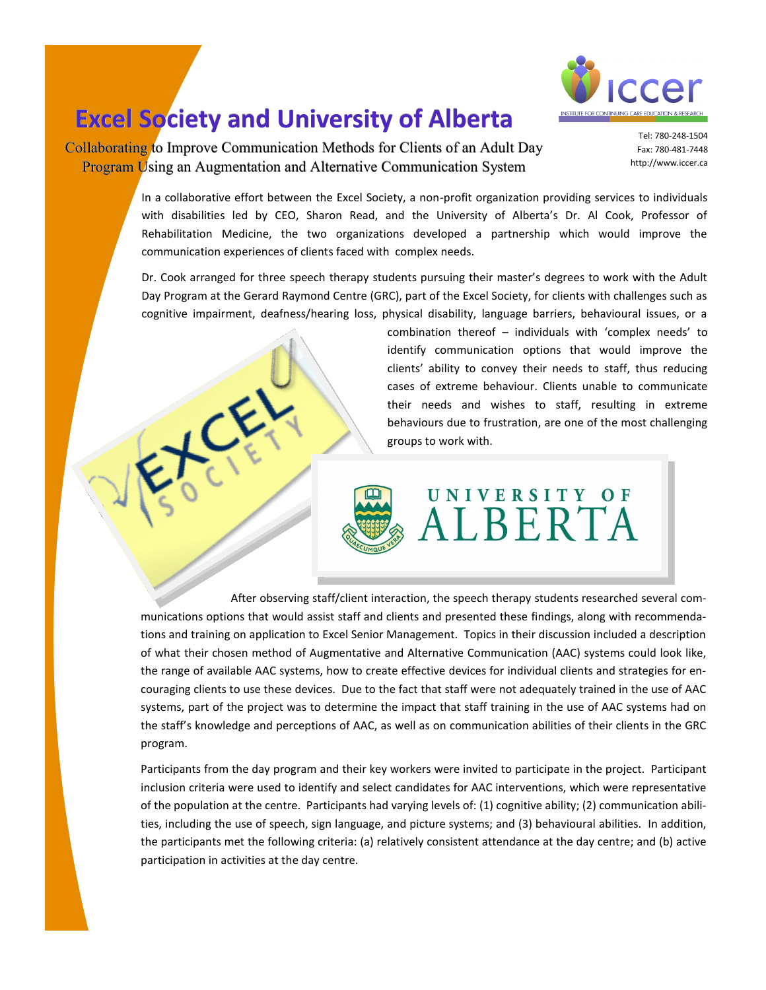

## **Excel Society and University of Alberta**

Collaborating to Improve Communication Methods for Clients of an Adult Day Program Using an Augmentation and Alternative Communication System

Tel: [780-248-1504](tel:780-248-1504)  Fax: [780-481-7448](tel:780-481-7448) [http://www.iccer.ca](http://www.iccer.ca/) 

In a collaborative effort between the Excel Society, a non-profit organization providing services to individuals with disabilities led by CEO, Sharon Read, and the University of Alberta's Dr. Al Cook, Professor of Rehabilitation Medicine, the two organizations developed a partnership which would improve the communication experiences of clients faced with complex needs.

Dr. Cook arranged for three speech therapy students pursuing their master's degrees to work with the Adult Day Program at the Gerard Raymond Centre (GRC), part of the Excel Society, for clients with challenges such as cognitive impairment, deafness/hearing loss, physical disability, language barriers, behavioural issues, or a

> combination thereof – individuals with 'complex needs' to identify communication options that would improve the clients' ability to convey their needs to staff, thus reducing cases of extreme behaviour. Clients unable to communicate their needs and wishes to staff, resulting in extreme behaviours due to frustration, are one of the most challenging groups to work with.



After observing staff/client interaction, the speech therapy students researched several communications options that would assist staff and clients and presented these findings, along with recommendations and training on application to Excel Senior Management. Topics in their discussion included a description of what their chosen method of Augmentative and Alternative Communication (AAC) systems could look like, the range of available AAC systems, how to create effective devices for individual clients and strategies for encouraging clients to use these devices. Due to the fact that staff were not adequately trained in the use of AAC systems, part of the project was to determine the impact that staff training in the use of AAC systems had on the staff's knowledge and perceptions of AAC, as well as on communication abilities of their clients in the GRC program.

Participants from the day program and their key workers were invited to participate in the project. Participant inclusion criteria were used to identify and select candidates for AAC interventions, which were representative of the population at the centre. Participants had varying levels of: (1) cognitive ability; (2) communication abilities, including the use of speech, sign language, and picture systems; and (3) behavioural abilities. In addition, the participants met the following criteria: (a) relatively consistent attendance at the day centre; and (b) active participation in activities at the day centre.